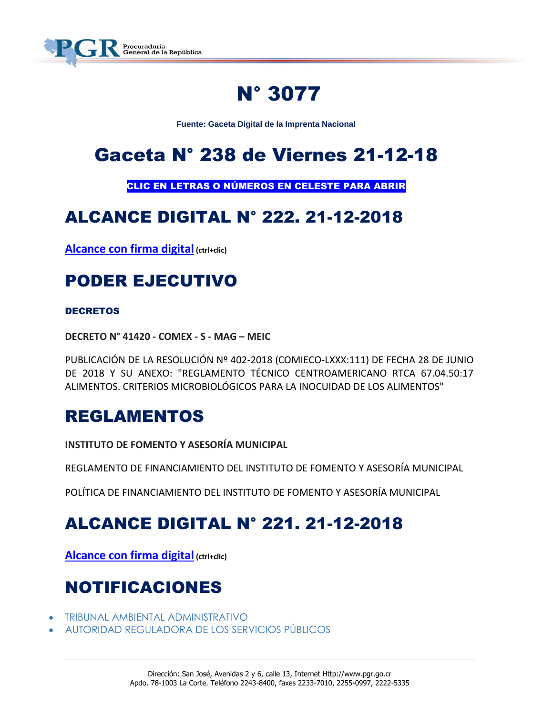

# N° 3077

**Fuente: Gaceta Digital de la Imprenta Nacional**

# Gaceta N° 238 de Viernes 21-12-18

CLIC EN LETRAS O NÚMEROS EN CELESTE PARA ABRIR

# ALCANCE DIGITAL N° 222. 21-12-2018

**[Alcance con firma digital](https://www.imprentanacional.go.cr/pub/2018/12/21/ALCA222_21_12_2018.pdf) (ctrl+clic)**

# PODER EJECUTIVO

## **DECRETOS**

**DECRETO N° 41420 - COMEX - S - MAG – MEIC**

PUBLICACIÓN DE LA RESOLUCIÓN Nº 402-2018 (COMIECO-LXXX:111) DE FECHA 28 DE JUNIO DE 2018 Y SU ANEXO: "REGLAMENTO TÉCNICO CENTROAMERICANO RTCA 67.04.50:17 ALIMENTOS. CRITERIOS MICROBIOLÓGICOS PARA LA INOCUIDAD DE LOS ALIMENTOS"

# REGLAMENTOS

**INSTITUTO DE FOMENTO Y ASESORÍA MUNICIPAL**

REGLAMENTO DE FINANCIAMIENTO DEL INSTITUTO DE FOMENTO Y ASESORÍA MUNICIPAL

POLÍTICA DE FINANCIAMIENTO DEL INSTITUTO DE FOMENTO Y ASESORÍA MUNICIPAL

# ALCANCE DIGITAL N° 221. 21-12-2018

**[Alcance con firma digital](https://www.imprentanacional.go.cr/pub/2018/12/21/ALCA221_21_12_2018.pdf) (ctrl+clic)**

# NOTIFICACIONES

- [TRIBUNAL AMBIENTAL ADMINISTRATIVO](https://www.imprentanacional.go.cr/pub/2018/12/21/ALCA221_21_12_2018.pdf)
- [AUTORIDAD REGULADORA DE LOS SERVICIOS PÚBLICOS](https://www.imprentanacional.go.cr/pub/2018/12/21/ALCA221_21_12_2018.pdf)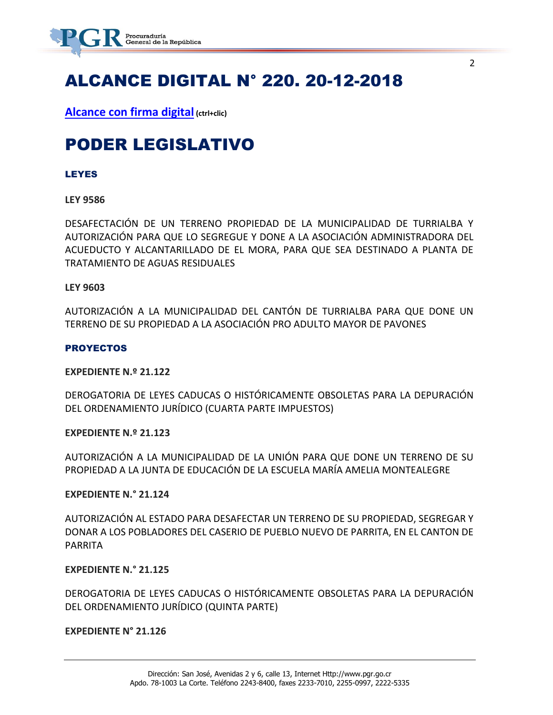

# ALCANCE DIGITAL N° 220. 20-12-2018

**[Alcance con firma digital](https://www.imprentanacional.go.cr/pub/2018/12/20/ALCA220_20_12_2018.pdf) (ctrl+clic)**

# PODER LEGISLATIVO

### LEYES

### **LEY 9586**

DESAFECTACIÓN DE UN TERRENO PROPIEDAD DE LA MUNICIPALIDAD DE TURRIALBA Y AUTORIZACIÓN PARA QUE LO SEGREGUE Y DONE A LA ASOCIACIÓN ADMINISTRADORA DEL ACUEDUCTO Y ALCANTARILLADO DE EL MORA, PARA QUE SEA DESTINADO A PLANTA DE TRATAMIENTO DE AGUAS RESIDUALES

### **LEY 9603**

AUTORIZACIÓN A LA MUNICIPALIDAD DEL CANTÓN DE TURRIALBA PARA QUE DONE UN TERRENO DE SU PROPIEDAD A LA ASOCIACIÓN PRO ADULTO MAYOR DE PAVONES

### **PROYECTOS**

### **EXPEDIENTE N.º 21.122**

DEROGATORIA DE LEYES CADUCAS O HISTÓRICAMENTE OBSOLETAS PARA LA DEPURACIÓN DEL ORDENAMIENTO JURÍDICO (CUARTA PARTE IMPUESTOS)

### **EXPEDIENTE N.º 21.123**

AUTORIZACIÓN A LA MUNICIPALIDAD DE LA UNIÓN PARA QUE DONE UN TERRENO DE SU PROPIEDAD A LA JUNTA DE EDUCACIÓN DE LA ESCUELA MARÍA AMELIA MONTEALEGRE

### **EXPEDIENTE N.° 21.124**

AUTORIZACIÓN AL ESTADO PARA DESAFECTAR UN TERRENO DE SU PROPIEDAD, SEGREGAR Y DONAR A LOS POBLADORES DEL CASERIO DE PUEBLO NUEVO DE PARRITA, EN EL CANTON DE PARRITA

### **EXPEDIENTE N.° 21.125**

DEROGATORIA DE LEYES CADUCAS O HISTÓRICAMENTE OBSOLETAS PARA LA DEPURACIÓN DEL ORDENAMIENTO JURÍDICO (QUINTA PARTE)

### **EXPEDIENTE N° 21.126**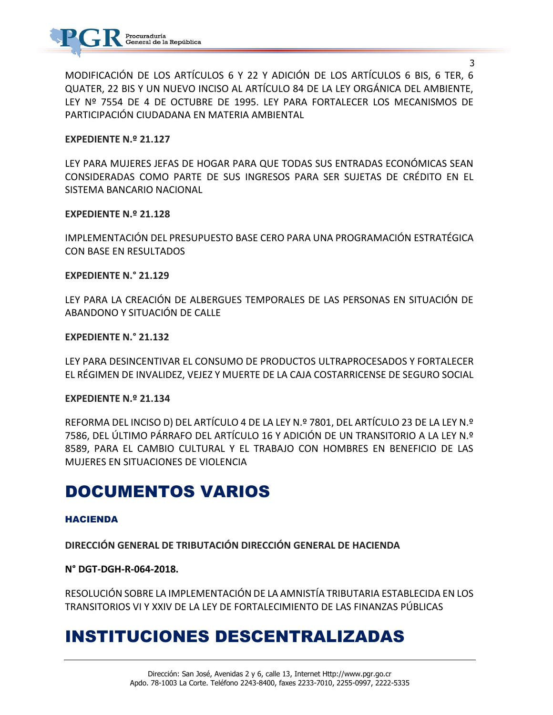

MODIFICACIÓN DE LOS ARTÍCULOS 6 Y 22 Y ADICIÓN DE LOS ARTÍCULOS 6 BIS, 6 TER, 6 QUATER, 22 BIS Y UN NUEVO INCISO AL ARTÍCULO 84 DE LA LEY ORGÁNICA DEL AMBIENTE, LEY Nº 7554 DE 4 DE OCTUBRE DE 1995. LEY PARA FORTALECER LOS MECANISMOS DE PARTICIPACIÓN CIUDADANA EN MATERIA AMBIENTAL

### **EXPEDIENTE N.º 21.127**

LEY PARA MUJERES JEFAS DE HOGAR PARA QUE TODAS SUS ENTRADAS ECONÓMICAS SEAN CONSIDERADAS COMO PARTE DE SUS INGRESOS PARA SER SUJETAS DE CRÉDITO EN EL SISTEMA BANCARIO NACIONAL

### **EXPEDIENTE N.º 21.128**

IMPLEMENTACIÓN DEL PRESUPUESTO BASE CERO PARA UNA PROGRAMACIÓN ESTRATÉGICA CON BASE EN RESULTADOS

### **EXPEDIENTE N.° 21.129**

LEY PARA LA CREACIÓN DE ALBERGUES TEMPORALES DE LAS PERSONAS EN SITUACIÓN DE ABANDONO Y SITUACIÓN DE CALLE

### **EXPEDIENTE N.° 21.132**

LEY PARA DESINCENTIVAR EL CONSUMO DE PRODUCTOS ULTRAPROCESADOS Y FORTALECER EL RÉGIMEN DE INVALIDEZ, VEJEZ Y MUERTE DE LA CAJA COSTARRICENSE DE SEGURO SOCIAL

### **EXPEDIENTE N.º 21.134**

REFORMA DEL INCISO D) DEL ARTÍCULO 4 DE LA LEY N.º 7801, DEL ARTÍCULO 23 DE LA LEY N.º 7586, DEL ÚLTIMO PÁRRAFO DEL ARTÍCULO 16 Y ADICIÓN DE UN TRANSITORIO A LA LEY N.º 8589, PARA EL CAMBIO CULTURAL Y EL TRABAJO CON HOMBRES EN BENEFICIO DE LAS MUJERES EN SITUACIONES DE VIOLENCIA

# DOCUMENTOS VARIOS

### HACIENDA

**DIRECCIÓN GENERAL DE TRIBUTACIÓN DIRECCIÓN GENERAL DE HACIENDA**

### **N° DGT-DGH-R-064-2018.**

RESOLUCIÓN SOBRE LA IMPLEMENTACIÓN DE LA AMNISTÍA TRIBUTARIA ESTABLECIDA EN LOS TRANSITORIOS VI Y XXIV DE LA LEY DE FORTALECIMIENTO DE LAS FINANZAS PÚBLICAS

# INSTITUCIONES DESCENTRALIZADAS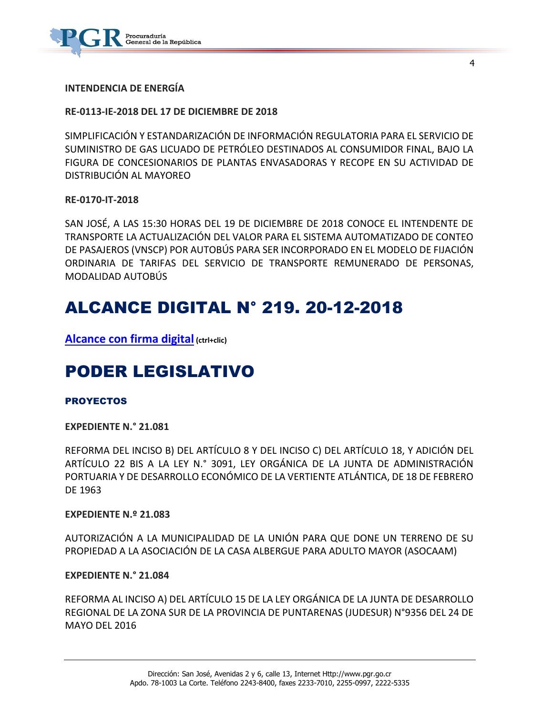

**INTENDENCIA DE ENERGÍA** 

### **RE-0113-IE-2018 DEL 17 DE DICIEMBRE DE 2018**

SIMPLIFICACIÓN Y ESTANDARIZACIÓN DE INFORMACIÓN REGULATORIA PARA EL SERVICIO DE SUMINISTRO DE GAS LICUADO DE PETRÓLEO DESTINADOS AL CONSUMIDOR FINAL, BAJO LA FIGURA DE CONCESIONARIOS DE PLANTAS ENVASADORAS Y RECOPE EN SU ACTIVIDAD DE DISTRIBUCIÓN AL MAYOREO

4

### **RE-0170-IT-2018**

SAN JOSÉ, A LAS 15:30 HORAS DEL 19 DE DICIEMBRE DE 2018 CONOCE EL INTENDENTE DE TRANSPORTE LA ACTUALIZACIÓN DEL VALOR PARA EL SISTEMA AUTOMATIZADO DE CONTEO DE PASAJEROS (VNSCP) POR AUTOBÚS PARA SER INCORPORADO EN EL MODELO DE FIJACIÓN ORDINARIA DE TARIFAS DEL SERVICIO DE TRANSPORTE REMUNERADO DE PERSONAS, MODALIDAD AUTOBÚS

# ALCANCE DIGITAL N° 219. 20-12-2018

**[Alcance con firma digital](https://www.imprentanacional.go.cr/pub/2018/12/20/ALCA219_20_12_2018.pdf) (ctrl+clic)**

# PODER LEGISLATIVO

### PROYECTOS

### **EXPEDIENTE N.° 21.081**

REFORMA DEL INCISO B) DEL ARTÍCULO 8 Y DEL INCISO C) DEL ARTÍCULO 18, Y ADICIÓN DEL ARTÍCULO 22 BIS A LA LEY N.° 3091, LEY ORGÁNICA DE LA JUNTA DE ADMINISTRACIÓN PORTUARIA Y DE DESARROLLO ECONÓMICO DE LA VERTIENTE ATLÁNTICA, DE 18 DE FEBRERO DE 1963

### **EXPEDIENTE N.º 21.083**

AUTORIZACIÓN A LA MUNICIPALIDAD DE LA UNIÓN PARA QUE DONE UN TERRENO DE SU PROPIEDAD A LA ASOCIACIÓN DE LA CASA ALBERGUE PARA ADULTO MAYOR (ASOCAAM)

### **EXPEDIENTE N.° 21.084**

REFORMA AL INCISO A) DEL ARTÍCULO 15 DE LA LEY ORGÁNICA DE LA JUNTA DE DESARROLLO REGIONAL DE LA ZONA SUR DE LA PROVINCIA DE PUNTARENAS (JUDESUR) N°9356 DEL 24 DE MAYO DEL 2016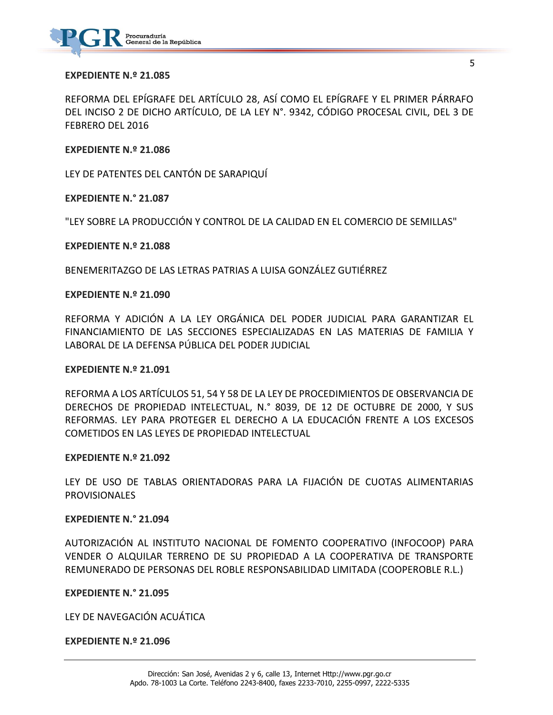

#### **EXPEDIENTE N.º 21.085**

REFORMA DEL EPÍGRAFE DEL ARTÍCULO 28, ASÍ COMO EL EPÍGRAFE Y EL PRIMER PÁRRAFO DEL INCISO 2 DE DICHO ARTÍCULO, DE LA LEY N°. 9342, CÓDIGO PROCESAL CIVIL, DEL 3 DE FEBRERO DEL 2016

### **EXPEDIENTE N.º 21.086**

LEY DE PATENTES DEL CANTÓN DE SARAPIQUÍ

**EXPEDIENTE N.° 21.087**

"LEY SOBRE LA PRODUCCIÓN Y CONTROL DE LA CALIDAD EN EL COMERCIO DE SEMILLAS"

#### **EXPEDIENTE N.º 21.088**

BENEMERITAZGO DE LAS LETRAS PATRIAS A LUISA GONZÁLEZ GUTIÉRREZ

### **EXPEDIENTE N.º 21.090**

REFORMA Y ADICIÓN A LA LEY ORGÁNICA DEL PODER JUDICIAL PARA GARANTIZAR EL FINANCIAMIENTO DE LAS SECCIONES ESPECIALIZADAS EN LAS MATERIAS DE FAMILIA Y LABORAL DE LA DEFENSA PÚBLICA DEL PODER JUDICIAL

#### **EXPEDIENTE N.º 21.091**

REFORMA A LOS ARTÍCULOS 51, 54 Y 58 DE LA LEY DE PROCEDIMIENTOS DE OBSERVANCIA DE DERECHOS DE PROPIEDAD INTELECTUAL, N.° 8039, DE 12 DE OCTUBRE DE 2000, Y SUS REFORMAS. LEY PARA PROTEGER EL DERECHO A LA EDUCACIÓN FRENTE A LOS EXCESOS COMETIDOS EN LAS LEYES DE PROPIEDAD INTELECTUAL

#### **EXPEDIENTE N.º 21.092**

LEY DE USO DE TABLAS ORIENTADORAS PARA LA FIJACIÓN DE CUOTAS ALIMENTARIAS PROVISIONALES

### **EXPEDIENTE N.° 21.094**

AUTORIZACIÓN AL INSTITUTO NACIONAL DE FOMENTO COOPERATIVO (INFOCOOP) PARA VENDER O ALQUILAR TERRENO DE SU PROPIEDAD A LA COOPERATIVA DE TRANSPORTE REMUNERADO DE PERSONAS DEL ROBLE RESPONSABILIDAD LIMITADA (COOPEROBLE R.L.)

#### **EXPEDIENTE N.° 21.095**

LEY DE NAVEGACIÓN ACUÁTICA

### **EXPEDIENTE N.º 21.096**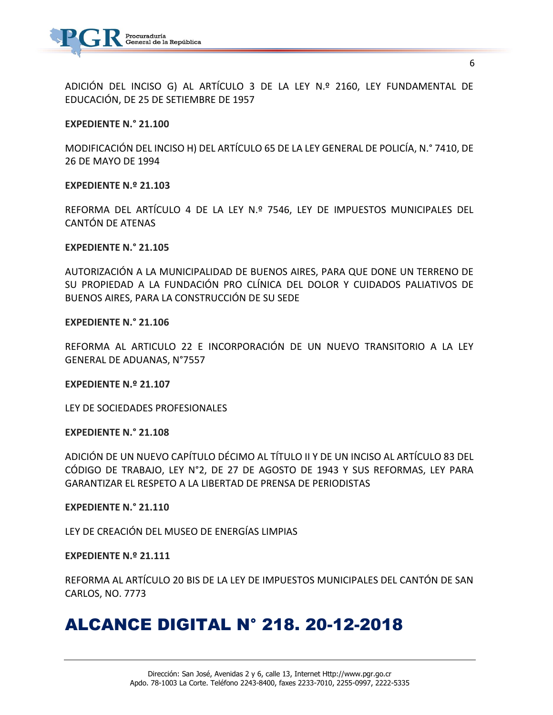

ADICIÓN DEL INCISO G) AL ARTÍCULO 3 DE LA LEY N.º 2160, LEY FUNDAMENTAL DE EDUCACIÓN, DE 25 DE SETIEMBRE DE 1957

### **EXPEDIENTE N.° 21.100**

MODIFICACIÓN DEL INCISO H) DEL ARTÍCULO 65 DE LA LEY GENERAL DE POLICÍA, N.° 7410, DE 26 DE MAYO DE 1994

### **EXPEDIENTE N.º 21.103**

REFORMA DEL ARTÍCULO 4 DE LA LEY N.º 7546, LEY DE IMPUESTOS MUNICIPALES DEL CANTÓN DE ATENAS

### **EXPEDIENTE N.° 21.105**

AUTORIZACIÓN A LA MUNICIPALIDAD DE BUENOS AIRES, PARA QUE DONE UN TERRENO DE SU PROPIEDAD A LA FUNDACIÓN PRO CLÍNICA DEL DOLOR Y CUIDADOS PALIATIVOS DE BUENOS AIRES, PARA LA CONSTRUCCIÓN DE SU SEDE

### **EXPEDIENTE N.° 21.106**

REFORMA AL ARTICULO 22 E INCORPORACIÓN DE UN NUEVO TRANSITORIO A LA LEY GENERAL DE ADUANAS, N°7557

#### **EXPEDIENTE N.º 21.107**

LEY DE SOCIEDADES PROFESIONALES

### **EXPEDIENTE N.° 21.108**

ADICIÓN DE UN NUEVO CAPÍTULO DÉCIMO AL TÍTULO II Y DE UN INCISO AL ARTÍCULO 83 DEL CÓDIGO DE TRABAJO, LEY N°2, DE 27 DE AGOSTO DE 1943 Y SUS REFORMAS, LEY PARA GARANTIZAR EL RESPETO A LA LIBERTAD DE PRENSA DE PERIODISTAS

#### **EXPEDIENTE N.° 21.110**

LEY DE CREACIÓN DEL MUSEO DE ENERGÍAS LIMPIAS

### **EXPEDIENTE N.º 21.111**

REFORMA AL ARTÍCULO 20 BIS DE LA LEY DE IMPUESTOS MUNICIPALES DEL CANTÓN DE SAN CARLOS, NO. 7773

# ALCANCE DIGITAL N° 218. 20-12-2018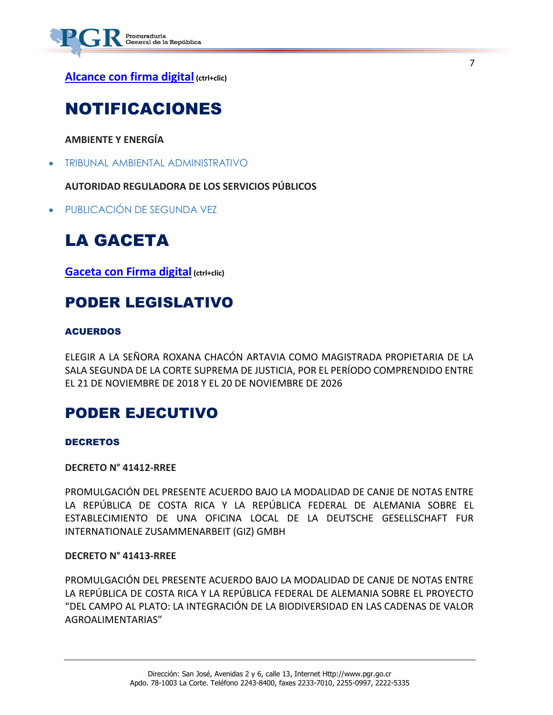

**[Alcance con firma digital](https://www.imprentanacional.go.cr/pub/2018/12/20/ALCA218_20_12_2018.pdf) (ctrl+clic)**

# NOTIFICACIONES

**AMBIENTE Y ENERGÍA**

[TRIBUNAL AMBIENTAL ADMINISTRATIVO](https://www.imprentanacional.go.cr/pub/2018/12/20/ALCA218_20_12_2018.pdf)

**AUTORIDAD REGULADORA DE LOS SERVICIOS PÚBLICOS**

[PUBLICACIÓN DE SEGUNDA VEZ](https://www.imprentanacional.go.cr/pub/2018/12/20/ALCA218_20_12_2018.pdf)

# LA GACETA

**[Gaceta con Firma digital](https://www.imprentanacional.go.cr/pub/2018/12/21/COMP_21_12_2018.pdf) (ctrl+clic)**

# PODER LEGISLATIVO

## ACUERDOS

ELEGIR A LA SEÑORA ROXANA CHACÓN ARTAVIA COMO MAGISTRADA PROPIETARIA DE LA SALA SEGUNDA DE LA CORTE SUPREMA DE JUSTICIA, POR EL PERÍODO COMPRENDIDO ENTRE EL 21 DE NOVIEMBRE DE 2018 Y EL 20 DE NOVIEMBRE DE 2026

7

# PODER EJECUTIVO

DECRETOS

**DECRETO N° 41412-RREE**

PROMULGACIÓN DEL PRESENTE ACUERDO BAJO LA MODALIDAD DE CANJE DE NOTAS ENTRE LA REPÚBLICA DE COSTA RICA Y LA REPÚBLICA FEDERAL DE ALEMANIA SOBRE EL ESTABLECIMIENTO DE UNA OFICINA LOCAL DE LA DEUTSCHE GESELLSCHAFT FUR INTERNATIONALE ZUSAMMENARBEIT (GIZ) GMBH

### **DECRETO N° 41413-RREE**

PROMULGACIÓN DEL PRESENTE ACUERDO BAJO LA MODALIDAD DE CANJE DE NOTAS ENTRE LA REPÚBLICA DE COSTA RICA Y LA REPÚBLICA FEDERAL DE ALEMANIA SOBRE EL PROYECTO "DEL CAMPO AL PLATO: LA INTEGRACIÓN DE LA BIODIVERSIDAD EN LAS CADENAS DE VALOR AGROALIMENTARIAS"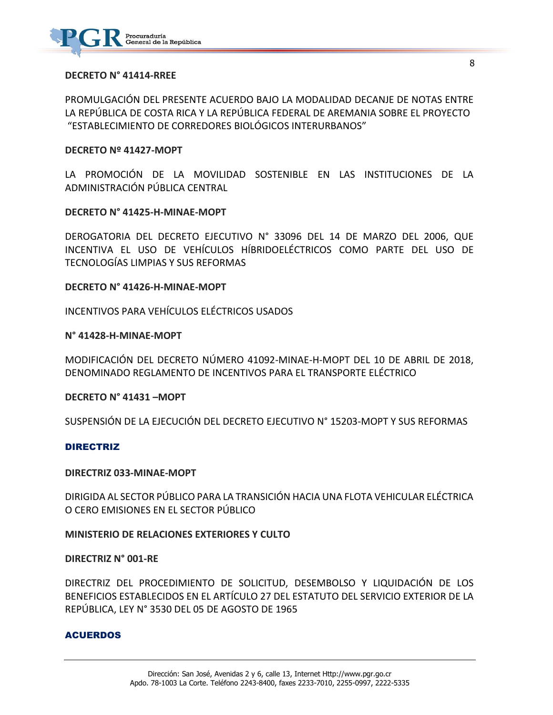

### **DECRETO N° 41414-RREE**

PROMULGACIÓN DEL PRESENTE ACUERDO BAJO LA MODALIDAD DECANJE DE NOTAS ENTRE LA REPÚBLICA DE COSTA RICA Y LA REPÚBLICA FEDERAL DE AREMANIA SOBRE EL PROYECTO "ESTABLECIMIENTO DE CORREDORES BIOLÓGICOS INTERURBANOS"

### **DECRETO Nº 41427-MOPT**

LA PROMOCIÓN DE LA MOVILIDAD SOSTENIBLE EN LAS INSTITUCIONES DE LA ADMINISTRACIÓN PÚBLICA CENTRAL

### **DECRETO N° 41425-H-MINAE-MOPT**

DEROGATORIA DEL DECRETO EJECUTIVO N° 33096 DEL 14 DE MARZO DEL 2006, QUE INCENTIVA EL USO DE VEHÍCULOS HÍBRIDOELÉCTRICOS COMO PARTE DEL USO DE TECNOLOGÍAS LIMPIAS Y SUS REFORMAS

### **DECRETO N° 41426-H-MINAE-MOPT**

INCENTIVOS PARA VEHÍCULOS ELÉCTRICOS USADOS

### **N° 41428-H-MINAE-MOPT**

MODIFICACIÓN DEL DECRETO NÚMERO 41092-MINAE-H-MOPT DEL 10 DE ABRIL DE 2018, DENOMINADO REGLAMENTO DE INCENTIVOS PARA EL TRANSPORTE ELÉCTRICO

### **DECRETO N° 41431 –MOPT**

SUSPENSIÓN DE LA EJECUCIÓN DEL DECRETO EJECUTIVO N° 15203-MOPT Y SUS REFORMAS

### DIRECTRIZ

### **DIRECTRIZ 033-MINAE-MOPT**

DIRIGIDA AL SECTOR PÚBLICO PARA LA TRANSICIÓN HACIA UNA FLOTA VEHICULAR ELÉCTRICA O CERO EMISIONES EN EL SECTOR PÚBLICO

### **MINISTERIO DE RELACIONES EXTERIORES Y CULTO**

### **DIRECTRIZ N° 001-RE**

DIRECTRIZ DEL PROCEDIMIENTO DE SOLICITUD, DESEMBOLSO Y LIQUIDACIÓN DE LOS BENEFICIOS ESTABLECIDOS EN EL ARTÍCULO 27 DEL ESTATUTO DEL SERVICIO EXTERIOR DE LA REPÚBLICA, LEY N° 3530 DEL 05 DE AGOSTO DE 1965

### ACUERDOS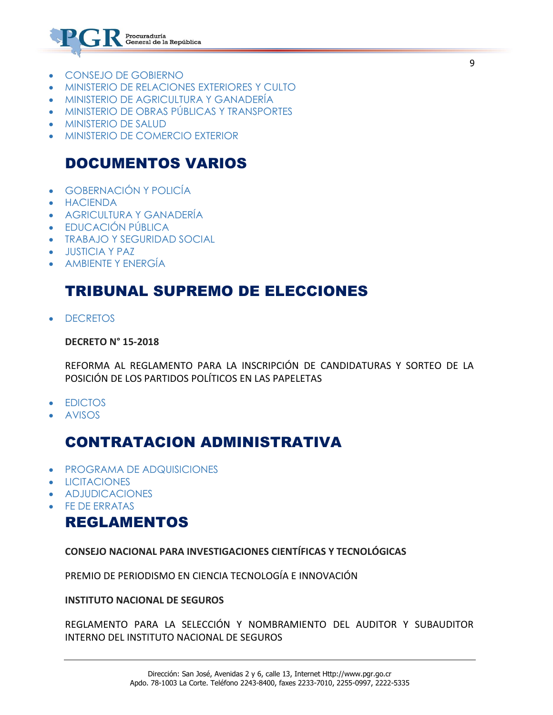

- [CONSEJO DE GOBIERNO](https://www.imprentanacional.go.cr/gaceta/#consejo-de-gobierno)
- [MINISTERIO DE RELACIONES EXTERIORES](https://www.imprentanacional.go.cr/gaceta/#ministerio-de-relacionesexteriores-y-culto) Y CULTO
- [MINISTERIO DE AGRICULTURA Y GANADERÍA](https://www.imprentanacional.go.cr/gaceta/#ministerio-de-agricultura-y-ganadera)
- [MINISTERIO DE OBRAS PÚBLICAS Y TRANSPORTES](https://www.imprentanacional.go.cr/gaceta/#ministerio-de-obras-pblicas-ytransportes)
- [MINISTERIO DE SALUD](https://www.imprentanacional.go.cr/gaceta/#ministerio-de-salud)
- [MINISTERIO DE COMERCIO EXTERIOR](https://www.imprentanacional.go.cr/gaceta/#ministerio-de-comercio-exterior)

## DOCUMENTOS VARIOS

- [GOBERNACIÓN Y POLICÍA](https://www.imprentanacional.go.cr/gaceta/#gobernacin-y-polica)
- [HACIENDA](https://www.imprentanacional.go.cr/gaceta/#hacienda)
- [AGRICULTURA Y GANADERÍA](https://www.imprentanacional.go.cr/gaceta/#agricultura-y-ganadera)
- [EDUCACIÓN PÚBLICA](https://www.imprentanacional.go.cr/gaceta/#educacin-pblica)
- [TRABAJO Y SEGURIDAD SOCIAL](https://www.imprentanacional.go.cr/gaceta/#trabajo-y-seguridad-social)
- [JUSTICIA Y PAZ](https://www.imprentanacional.go.cr/gaceta/#justicia-y-paz)
- [AMBIENTE Y ENERGÍA](https://www.imprentanacional.go.cr/gaceta/#ambiente-y-energa)

# TRIBUNAL SUPREMO DE ELECCIONES

**[DECRETOS](https://www.imprentanacional.go.cr/gaceta/#decretos)** 

### **DECRETO N° 15-2018**

REFORMA AL REGLAMENTO PARA LA INSCRIPCIÓN DE CANDIDATURAS Y SORTEO DE LA POSICIÓN DE LOS PARTIDOS POLÍTICOS EN LAS PAPELETAS

- [EDICTOS](https://www.imprentanacional.go.cr/gaceta/#edictos)
- [AVISOS](https://www.imprentanacional.go.cr/gaceta/#avisos)

# CONTRATACION ADMINISTRATIVA

- [PROGRAMA DE ADQUISICIONES](https://www.imprentanacional.go.cr/gaceta/#programa-de-adquisiciones)
- [LICITACIONES](https://www.imprentanacional.go.cr/gaceta/#licitaciones)
- [ADJUDICACIONES](https://www.imprentanacional.go.cr/gaceta/#adjudicaciones)
- [FE DE ERRATAS](https://www.imprentanacional.go.cr/gaceta/#fe-de-erratas)

## REGLAMENTOS

**[CONSEJO NACIONAL PARA INVESTIGACIONES](https://www.imprentanacional.go.cr/gaceta/#consejo-nacional-parainvestigaciones) [CIENTÍFICAS Y TECNOLÓGICAS](https://www.imprentanacional.go.cr/gaceta/#consejo-nacional-parainvestigaciones)**

PREMIO DE PERIODISMO EN CIENCIA TECNOLOGÍA E INNOVACIÓN

**[INSTITUTO NACIONAL DE SEGUROS](https://www.imprentanacional.go.cr/gaceta/#instituto-nacional-de-seguros)**

REGLAMENTO PARA LA SELECCIÓN Y NOMBRAMIENTO DEL AUDITOR Y SUBAUDITOR INTERNO DEL INSTITUTO NACIONAL DE SEGUROS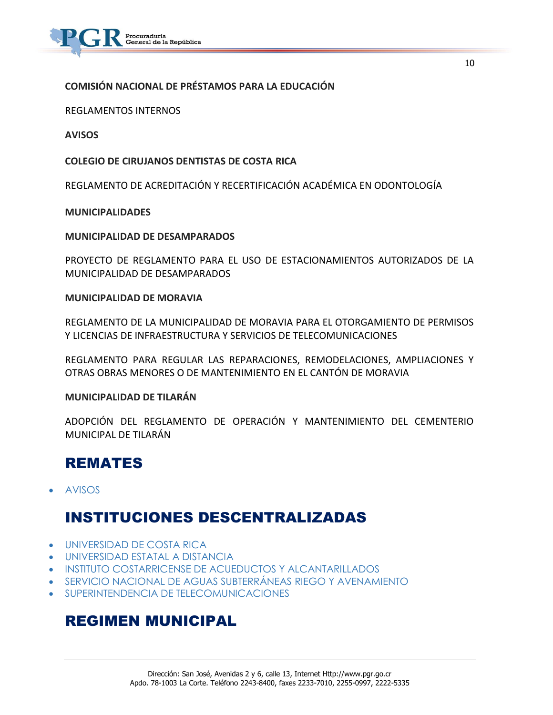

## **[COMISIÓN NACIONAL DE PRÉSTAMOS](https://www.imprentanacional.go.cr/gaceta/#comisin-nacional-de-prstamos) [PARA LA EDUCACIÓN](https://www.imprentanacional.go.cr/gaceta/#comisin-nacional-de-prstamos)**

REGLAMENTOS INTERNOS

**[AVISOS](https://www.imprentanacional.go.cr/gaceta/#avisos)**

**COLEGIO DE CIRUJANOS DENTISTAS DE COSTA RICA**

REGLAMENTO DE ACREDITACIÓN Y RECERTIFICACIÓN ACADÉMICA EN ODONTOLOGÍA

### **[MUNICIPALIDADES](https://www.imprentanacional.go.cr/gaceta/#municipalidades)**

### **MUNICIPALIDAD DE DESAMPARADOS**

PROYECTO DE REGLAMENTO PARA EL USO DE ESTACIONAMIENTOS AUTORIZADOS DE LA MUNICIPALIDAD DE DESAMPARADOS

### **MUNICIPALIDAD DE MORAVIA**

REGLAMENTO DE LA MUNICIPALIDAD DE MORAVIA PARA EL OTORGAMIENTO DE PERMISOS Y LICENCIAS DE INFRAESTRUCTURA Y SERVICIOS DE TELECOMUNICACIONES

REGLAMENTO PARA REGULAR LAS REPARACIONES, REMODELACIONES, AMPLIACIONES Y OTRAS OBRAS MENORES O DE MANTENIMIENTO EN EL CANTÓN DE MORAVIA

### **MUNICIPALIDAD DE TILARÁN**

ADOPCIÓN DEL REGLAMENTO DE OPERACIÓN Y MANTENIMIENTO DEL CEMENTERIO MUNICIPAL DE TILARÁN

## REMATES

[AVISOS](https://www.imprentanacional.go.cr/gaceta/#avisos)

## INSTITUCIONES DESCENTRALIZADAS

- [UNIVERSIDAD DE COSTA RICA](https://www.imprentanacional.go.cr/gaceta/#universidad-de-costa-rica)
- [UNIVERSIDAD ESTATAL A DISTANCIA](https://www.imprentanacional.go.cr/gaceta/#universidad-estatal-a-distancia)
- [INSTITUTO COSTARRICENSE DE ACUEDUCTOS](https://www.imprentanacional.go.cr/gaceta/#instituto-costarricense-deacueductos) [Y ALCANTARILLADOS](https://www.imprentanacional.go.cr/gaceta/#-y-alcantarillados)
- [SERVICIO NACIONAL DE AGUAS SUBTERRÁNEAS](https://www.imprentanacional.go.cr/gaceta/#servicio-nacional-de-aguassubterrneas) [RIEGO Y AVENAMIENTO](https://www.imprentanacional.go.cr/gaceta/#-riego-y-avenamiento)
- [SUPERINTENDENCIA DE TELECOMUNICACIONES](https://www.imprentanacional.go.cr/gaceta/#superintendencia-detelecomunicaciones)

## REGIMEN MUNICIPAL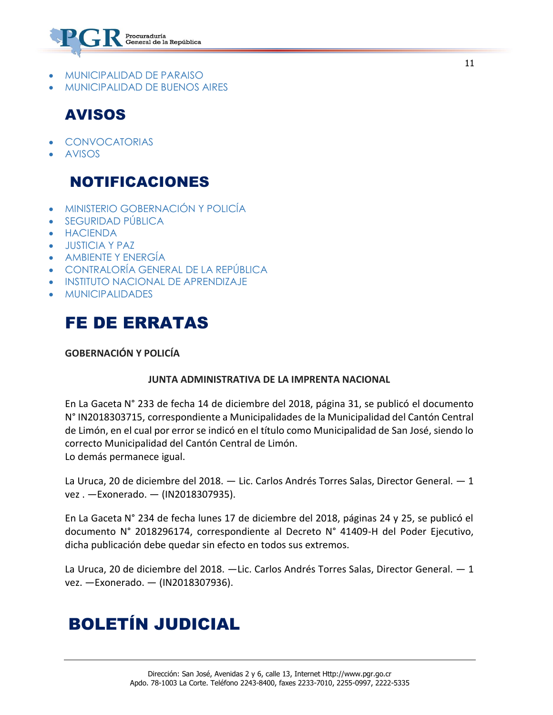

- [MUNICIPALIDAD DE PARAISO](https://www.imprentanacional.go.cr/gaceta/#municipalidad-de-paraiso)
- [MUNICIPALIDAD DE BUENOS AIRES](https://www.imprentanacional.go.cr/gaceta/#municipalidad-de-buenos-aires)

# AVISOS

- [CONVOCATORIAS](https://www.imprentanacional.go.cr/gaceta/#convocatorias)
- [AVISOS](https://www.imprentanacional.go.cr/gaceta/#avisos)

# NOTIFICACIONES

- [MINISTERIO GOBERNACIÓN Y POLICÍA](https://www.imprentanacional.go.cr/gaceta/#ministerio-gobernacin-y-polica)
- [SEGURIDAD PÚBLICA](https://www.imprentanacional.go.cr/gaceta/#seguridad-pblica)
- [HACIENDA](https://www.imprentanacional.go.cr/gaceta/#hacienda)
- [JUSTICIA Y PAZ](https://www.imprentanacional.go.cr/gaceta/#justicia-y-paz)
- [AMBIENTE Y ENERGÍA](https://www.imprentanacional.go.cr/gaceta/#ambiente-y-energa)
- [CONTRALORÍA GENERAL DE LA REPÚBLICA](https://www.imprentanacional.go.cr/gaceta/#contralora-general-de-larepblica)
- [INSTITUTO NACIONAL DE APRENDIZAJE](https://www.imprentanacional.go.cr/gaceta/#instituto-nacional-deaprendizaje)
- [MUNICIPALIDADES](https://www.imprentanacional.go.cr/gaceta/#municipalidades)

# FE DE ERRATAS

## **GOBERNACIÓN Y POLICÍA**

### **JUNTA ADMINISTRATIVA DE LA IMPRENTA NACIONAL**

En La Gaceta N° 233 de fecha 14 de diciembre del 2018, página 31, se publicó el documento N° IN2018303715, correspondiente a Municipalidades de la Municipalidad del Cantón Central de Limón, en el cual por error se indicó en el título como Municipalidad de San José, siendo lo correcto Municipalidad del Cantón Central de Limón. Lo demás permanece igual.

La Uruca, 20 de diciembre del 2018. — Lic. Carlos Andrés Torres Salas, Director General. — 1 vez . —Exonerado. — (IN2018307935).

En La Gaceta N° 234 de fecha lunes 17 de diciembre del 2018, páginas 24 y 25, se publicó el documento N° 2018296174, correspondiente al Decreto N° 41409-H del Poder Ejecutivo, dicha publicación debe quedar sin efecto en todos sus extremos.

La Uruca, 20 de diciembre del 2018. —Lic. Carlos Andrés Torres Salas, Director General. — 1 vez. —Exonerado. — (IN2018307936).

# BOLETÍN JUDICIAL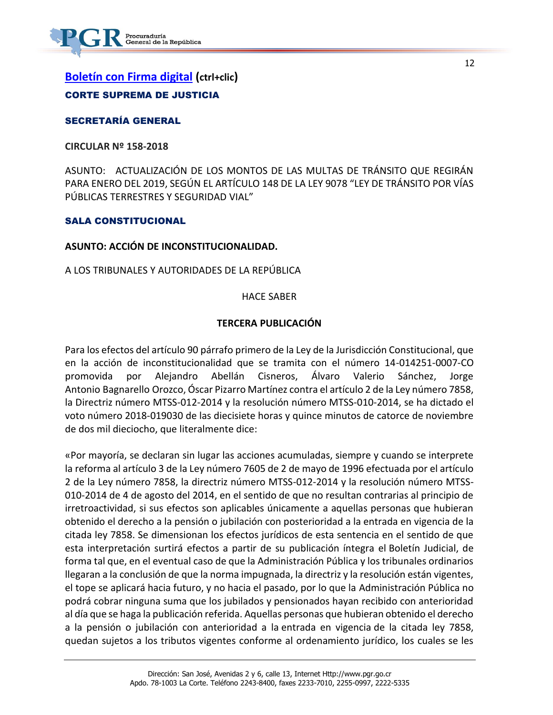12

## **[Boletín con Firma digital](https://www.imprentanacional.go.cr/pub-boletin/2018/12/bol_21_12_2018.pdf) (ctrl+clic)** CORTE SUPREMA DE JUSTICIA

## [SECRETARÍA GENERAL](https://www.imprentanacional.go.cr/boletin/#secretara-general)

**CIRCULAR Nº 158-2018**

ASUNTO: ACTUALIZACIÓN DE LOS MONTOS DE LAS MULTAS DE TRÁNSITO QUE REGIRÁN PARA ENERO DEL 2019, SEGÚN EL ARTÍCULO 148 DE LA LEY 9078 "LEY DE TRÁNSITO POR VÍAS PÚBLICAS TERRESTRES Y SEGURIDAD VIAL"

## SALA CONSTITUCIONAL

### **ASUNTO: ACCIÓN DE INCONSTITUCIONALIDAD.**

A LOS TRIBUNALES Y AUTORIDADES DE LA REPÚBLICA

### HACE SABER

## **TERCERA PUBLICACIÓN**

Para los efectos del artículo 90 párrafo primero de la Ley de la Jurisdicción Constitucional, que en la acción de inconstitucionalidad que se tramita con el número 14-014251-0007-CO promovida por Alejandro Abellán Cisneros, Álvaro Valerio Sánchez, Jorge Antonio Bagnarello Orozco, Óscar Pizarro Martínez contra el artículo 2 de la Ley número 7858, la Directriz número MTSS-012-2014 y la resolución número MTSS-010-2014, se ha dictado el voto número 2018-019030 de las diecisiete horas y quince minutos de catorce de noviembre de dos mil dieciocho, que literalmente dice:

«Por mayoría, se declaran sin lugar las acciones acumuladas, siempre y cuando se interprete la reforma al artículo 3 de la Ley número 7605 de 2 de mayo de 1996 efectuada por el artículo 2 de la Ley número 7858, la directriz número MTSS-012-2014 y la resolución número MTSS-010-2014 de 4 de agosto del 2014, en el sentido de que no resultan contrarias al principio de irretroactividad, si sus efectos son aplicables únicamente a aquellas personas que hubieran obtenido el derecho a la pensión o jubilación con posterioridad a la entrada en vigencia de la citada ley 7858. Se dimensionan los efectos jurídicos de esta sentencia en el sentido de que esta interpretación surtirá efectos a partir de su publicación íntegra el Boletín Judicial, de forma tal que, en el eventual caso de que la Administración Pública y los tribunales ordinarios llegaran a la conclusión de que la norma impugnada, la directriz y la resolución están vigentes, el tope se aplicará hacia futuro, y no hacia el pasado, por lo que la Administración Pública no podrá cobrar ninguna suma que los jubilados y pensionados hayan recibido con anterioridad al día que se haga la publicación referida. Aquellas personas que hubieran obtenido el derecho a la pensión o jubilación con anterioridad a la entrada en vigencia de la citada ley 7858, quedan sujetos a los tributos vigentes conforme al ordenamiento jurídico, los cuales se les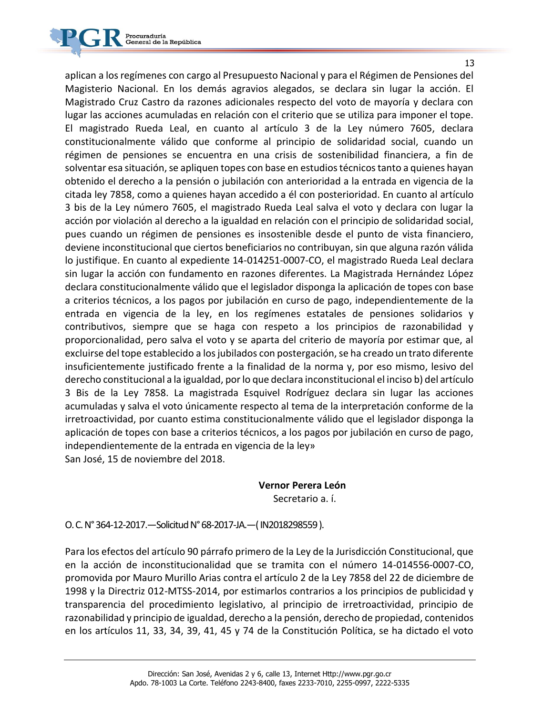

13

aplican a los regímenes con cargo al Presupuesto Nacional y para el Régimen de Pensiones del Magisterio Nacional. En los demás agravios alegados, se declara sin lugar la acción. El Magistrado Cruz Castro da razones adicionales respecto del voto de mayoría y declara con lugar las acciones acumuladas en relación con el criterio que se utiliza para imponer el tope. El magistrado Rueda Leal, en cuanto al artículo 3 de la Ley número 7605, declara constitucionalmente válido que conforme al principio de solidaridad social, cuando un régimen de pensiones se encuentra en una crisis de sostenibilidad financiera, a fin de solventar esa situación, se apliquen topes con base en estudios técnicos tanto a quienes hayan obtenido el derecho a la pensión o jubilación con anterioridad a la entrada en vigencia de la citada ley 7858, como a quienes hayan accedido a él con posterioridad. En cuanto al artículo 3 bis de la Ley número 7605, el magistrado Rueda Leal salva el voto y declara con lugar la acción por violación al derecho a la igualdad en relación con el principio de solidaridad social, pues cuando un régimen de pensiones es insostenible desde el punto de vista financiero, deviene inconstitucional que ciertos beneficiarios no contribuyan, sin que alguna razón válida lo justifique. En cuanto al expediente 14-014251-0007-CO, el magistrado Rueda Leal declara sin lugar la acción con fundamento en razones diferentes. La Magistrada Hernández López declara constitucionalmente válido que el legislador disponga la aplicación de topes con base a criterios técnicos, a los pagos por jubilación en curso de pago, independientemente de la entrada en vigencia de la ley, en los regímenes estatales de pensiones solidarios y contributivos, siempre que se haga con respeto a los principios de razonabilidad y proporcionalidad, pero salva el voto y se aparta del criterio de mayoría por estimar que, al excluirse del tope establecido a los jubilados con postergación, se ha creado un trato diferente insuficientemente justificado frente a la finalidad de la norma y, por eso mismo, lesivo del derecho constitucional a la igualdad, por lo que declara inconstitucional el inciso b) del artículo 3 Bis de la Ley 7858. La magistrada Esquivel Rodríguez declara sin lugar las acciones acumuladas y salva el voto únicamente respecto al tema de la interpretación conforme de la irretroactividad, por cuanto estima constitucionalmente válido que el legislador disponga la aplicación de topes con base a criterios técnicos, a los pagos por jubilación en curso de pago, independientemente de la entrada en vigencia de la ley» San José, 15 de noviembre del 2018.

### **Vernor Perera León**

Secretario a. í.

O. C.N°364-12-2017.—SolicitudN°68-2017-JA.—( IN2018298559).

Para los efectos del artículo 90 párrafo primero de la Ley de la Jurisdicción Constitucional, que en la acción de inconstitucionalidad que se tramita con el número 14-014556-0007-CO, promovida por Mauro Murillo Arias contra el artículo 2 de la Ley 7858 del 22 de diciembre de 1998 y la Directriz 012-MTSS-2014, por estimarlos contrarios a los principios de publicidad y transparencia del procedimiento legislativo, al principio de irretroactividad, principio de razonabilidad y principio de igualdad, derecho a la pensión, derecho de propiedad, contenidos en los artículos 11, 33, 34, 39, 41, 45 y 74 de la Constitución Política, se ha dictado el voto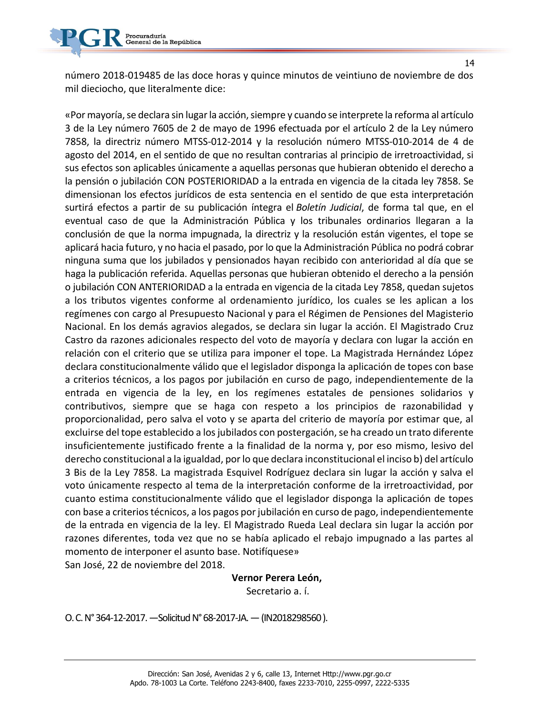número 2018-019485 de las doce horas y quince minutos de veintiuno de noviembre de dos mil dieciocho, que literalmente dice:

«Por mayoría, se declara sin lugar la acción, siempre y cuando se interprete la reforma al artículo 3 de la Ley número 7605 de 2 de mayo de 1996 efectuada por el artículo 2 de la Ley número 7858, la directriz número MTSS-012-2014 y la resolución número MTSS-010-2014 de 4 de agosto del 2014, en el sentido de que no resultan contrarias al principio de irretroactividad, si sus efectos son aplicables únicamente a aquellas personas que hubieran obtenido el derecho a la pensión o jubilación CON POSTERIORIDAD a la entrada en vigencia de la citada ley 7858. Se dimensionan los efectos jurídicos de esta sentencia en el sentido de que esta interpretación surtirá efectos a partir de su publicación íntegra el *Boletín Judicial*, de forma tal que, en el eventual caso de que la Administración Pública y los tribunales ordinarios llegaran a la conclusión de que la norma impugnada, la directriz y la resolución están vigentes, el tope se aplicará hacia futuro, y no hacia el pasado, por lo que la Administración Pública no podrá cobrar ninguna suma que los jubilados y pensionados hayan recibido con anterioridad al día que se haga la publicación referida. Aquellas personas que hubieran obtenido el derecho a la pensión o jubilación CON ANTERIORIDAD a la entrada en vigencia de la citada Ley 7858, quedan sujetos a los tributos vigentes conforme al ordenamiento jurídico, los cuales se les aplican a los regímenes con cargo al Presupuesto Nacional y para el Régimen de Pensiones del Magisterio Nacional. En los demás agravios alegados, se declara sin lugar la acción. El Magistrado Cruz Castro da razones adicionales respecto del voto de mayoría y declara con lugar la acción en relación con el criterio que se utiliza para imponer el tope. La Magistrada Hernández López declara constitucionalmente válido que el legislador disponga la aplicación de topes con base a criterios técnicos, a los pagos por jubilación en curso de pago, independientemente de la entrada en vigencia de la ley, en los regímenes estatales de pensiones solidarios y contributivos, siempre que se haga con respeto a los principios de razonabilidad y proporcionalidad, pero salva el voto y se aparta del criterio de mayoría por estimar que, al excluirse del tope establecido a los jubilados con postergación, se ha creado un trato diferente insuficientemente justificado frente a la finalidad de la norma y, por eso mismo, lesivo del derecho constitucional a la igualdad, por lo que declara inconstitucional el inciso b) del artículo 3 Bis de la Ley 7858. La magistrada Esquivel Rodríguez declara sin lugar la acción y salva el voto únicamente respecto al tema de la interpretación conforme de la irretroactividad, por cuanto estima constitucionalmente válido que el legislador disponga la aplicación de topes con base a criterios técnicos, a los pagos por jubilación en curso de pago, independientemente de la entrada en vigencia de la ley. El Magistrado Rueda Leal declara sin lugar la acción por razones diferentes, toda vez que no se había aplicado el rebajo impugnado a las partes al momento de interponer el asunto base. Notifíquese» San José, 22 de noviembre del 2018.

 **Vernor Perera León,**

Secretario a. í.

O. C.N°364-12-2017.—SolicitudN°68-2017-JA.—(IN2018298560 ).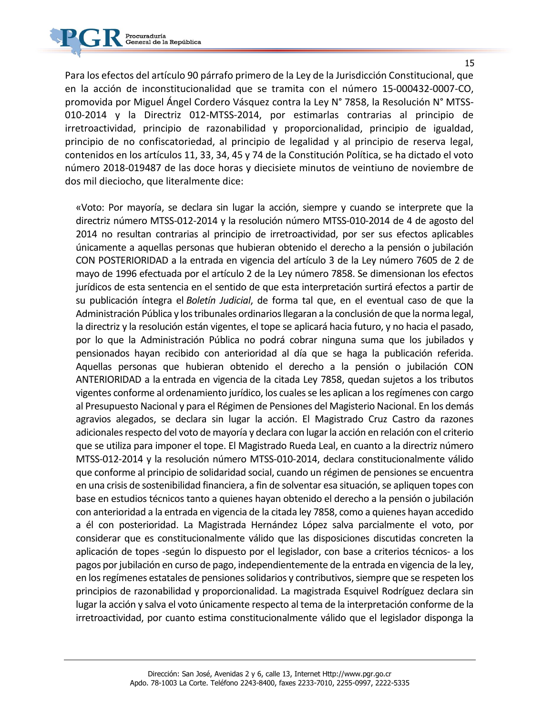

Para los efectos del artículo 90 párrafo primero de la Ley de la Jurisdicción Constitucional, que en la acción de inconstitucionalidad que se tramita con el número 15-000432-0007-CO, promovida por Miguel Ángel Cordero Vásquez contra la Ley N° 7858, la Resolución N° MTSS-010-2014 y la Directriz 012-MTSS-2014, por estimarlas contrarias al principio de irretroactividad, principio de razonabilidad y proporcionalidad, principio de igualdad, principio de no confiscatoriedad, al principio de legalidad y al principio de reserva legal, contenidos en los artículos 11, 33, 34, 45 y 74 de la Constitución Política, se ha dictado el voto número 2018-019487 de las doce horas y diecisiete minutos de veintiuno de noviembre de dos mil dieciocho, que literalmente dice:

«Voto: Por mayoría, se declara sin lugar la acción, siempre y cuando se interprete que la directriz número MTSS-012-2014 y la resolución número MTSS-010-2014 de 4 de agosto del 2014 no resultan contrarias al principio de irretroactividad, por ser sus efectos aplicables únicamente a aquellas personas que hubieran obtenido el derecho a la pensión o jubilación CON POSTERIORIDAD a la entrada en vigencia del artículo 3 de la Ley número 7605 de 2 de mayo de 1996 efectuada por el artículo 2 de la Ley número 7858. Se dimensionan los efectos jurídicos de esta sentencia en el sentido de que esta interpretación surtirá efectos a partir de su publicación íntegra el *Boletín Judicial*, de forma tal que, en el eventual caso de que la Administración Pública y los tribunales ordinarios llegaran a la conclusión de que la norma legal, la directriz y la resolución están vigentes, el tope se aplicará hacia futuro, y no hacia el pasado, por lo que la Administración Pública no podrá cobrar ninguna suma que los jubilados y pensionados hayan recibido con anterioridad al día que se haga la publicación referida. Aquellas personas que hubieran obtenido el derecho a la pensión o jubilación CON ANTERIORIDAD a la entrada en vigencia de la citada Ley 7858, quedan sujetos a los tributos vigentes conforme al ordenamiento jurídico, los cuales se les aplican a los regímenes con cargo al Presupuesto Nacional y para el Régimen de Pensiones del Magisterio Nacional. En los demás agravios alegados, se declara sin lugar la acción. El Magistrado Cruz Castro da razones adicionales respecto del voto de mayoría y declara con lugar la acción en relación con el criterio que se utiliza para imponer el tope. El Magistrado Rueda Leal, en cuanto a la directriz número MTSS-012-2014 y la resolución número MTSS-010-2014, declara constitucionalmente válido que conforme al principio de solidaridad social, cuando un régimen de pensiones se encuentra en una crisis de sostenibilidad financiera, a fin de solventar esa situación, se apliquen topes con base en estudios técnicos tanto a quienes hayan obtenido el derecho a la pensión o jubilación con anterioridad a la entrada en vigencia de la citada ley 7858, como a quienes hayan accedido a él con posterioridad. La Magistrada Hernández López salva parcialmente el voto, por considerar que es constitucionalmente válido que las disposiciones discutidas concreten la aplicación de topes -según lo dispuesto por el legislador, con base a criterios técnicos- a los pagos por jubilación en curso de pago, independientemente de la entrada en vigencia de la ley, en los regímenes estatales de pensiones solidarios y contributivos, siempre que se respeten los principios de razonabilidad y proporcionalidad. La magistrada Esquivel Rodríguez declara sin lugar la acción y salva el voto únicamente respecto al tema de la interpretación conforme de la irretroactividad, por cuanto estima constitucionalmente válido que el legislador disponga la